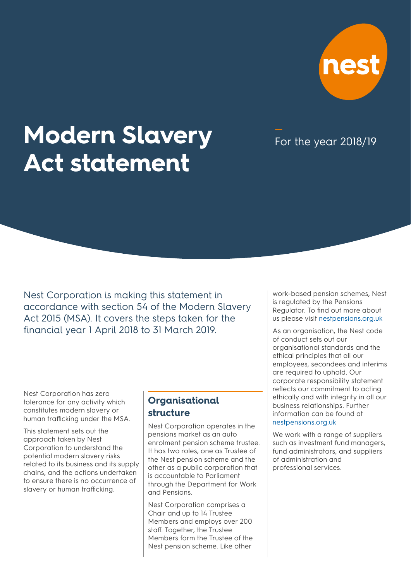

# **Modern Slavery Act statement**

For the year 2018/19

Nest Corporation is making this statement in accordance with section 54 of the Modern Slavery Act 2015 (MSA). It covers the steps taken for the financial year 1 April 2018 to 31 March 2019.

Nest Corporation has zero tolerance for any activity which constitutes modern slavery or human trafficking under the MSA.

This statement sets out the approach taken by Nest Corporation to understand the potential modern slavery risks related to its business and its supply chains, and the actions undertaken to ensure there is no occurrence of slavery or human trafficking.

### **Organisational structure**

Nest Corporation operates in the pensions market as an auto enrolment pension scheme trustee. It has two roles, one as Trustee of the Nest pension scheme and the other as a public corporation that is accountable to Parliament through the Department for Work and Pensions.

Nest Corporation comprises a Chair and up to 14 Trustee Members and employs over 200 staff. Together, the Trustee Members form the Trustee of the Nest pension scheme. Like other

work-based pension schemes, Nest is regulated by the Pensions Regulator. To find out more about us please visi[t nestpensions.org.uk](https://www.nestpensions.org.uk/schemeweb/nest/nestcorporation/who-runs-nest.html)

As an organisation, the Nest code of conduct sets out our organisational standards and the ethical principles that all our employees, secondees and interims are required to uphold. Our corporate responsibility statement reflects our commitment to acting ethically and with integrity in all our business relationships. Further information can be found at [nestpensions.org.uk](https://www.nestpensions.org.uk/schemeweb/nest/nestcorporation/how-nest-is-run/policy-and-procedures.html)

We work with a range of suppliers such as investment fund managers, fund administrators, and suppliers of administration and professional services.